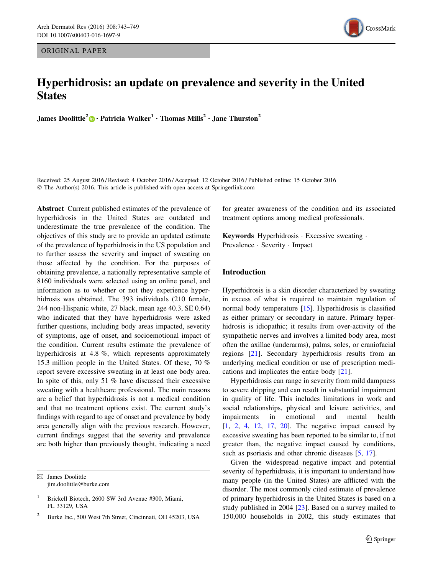ORIGINAL PAPER

# Hyperhidrosis: an update on prevalence and severity in the United **States**

James Doolittle<sup>2</sup>  $\mathbf{D} \cdot$  Patricia Walker<sup>1</sup> [•](http://orcid.org/0000-0001-9883-6022) Thomas Mills<sup>2</sup> • Jane Thurston<sup>2</sup>

Received: 25 August 2016 / Revised: 4 October 2016 / Accepted: 12 October 2016 / Published online: 15 October 2016 © The Author(s) 2016. This article is published with open access at Springerlink.com

Abstract Current published estimates of the prevalence of hyperhidrosis in the United States are outdated and underestimate the true prevalence of the condition. The objectives of this study are to provide an updated estimate of the prevalence of hyperhidrosis in the US population and to further assess the severity and impact of sweating on those affected by the condition. For the purposes of obtaining prevalence, a nationally representative sample of 8160 individuals were selected using an online panel, and information as to whether or not they experience hyperhidrosis was obtained. The 393 individuals (210 female, 244 non-Hispanic white, 27 black, mean age 40.3, SE 0.64) who indicated that they have hyperhidrosis were asked further questions, including body areas impacted, severity of symptoms, age of onset, and socioemotional impact of the condition. Current results estimate the prevalence of hyperhidrosis at 4.8 %, which represents approximately 15.3 million people in the United States. Of these, 70 % report severe excessive sweating in at least one body area. In spite of this, only 51 % have discussed their excessive sweating with a healthcare professional. The main reasons are a belief that hyperhidrosis is not a medical condition and that no treatment options exist. The current study's findings with regard to age of onset and prevalence by body area generally align with the previous research. However, current findings suggest that the severity and prevalence are both higher than previously thought, indicating a need

 $\boxtimes$  James Doolittle jim.doolittle@burke.com



Keywords Hyperhidrosis - Excessive sweating - Prevalence - Severity - Impact

# Introduction

Hyperhidrosis is a skin disorder characterized by sweating in excess of what is required to maintain regulation of normal body temperature [[15\]](#page-6-0). Hyperhidrosis is classified as either primary or secondary in nature. Primary hyperhidrosis is idiopathic; it results from over-activity of the sympathetic nerves and involves a limited body area, most often the axillae (underarms), palms, soles, or craniofacial regions [\[21](#page-6-0)]. Secondary hyperhidrosis results from an underlying medical condition or use of prescription medications and implicates the entire body [[21\]](#page-6-0).

Hyperhidrosis can range in severity from mild dampness to severe dripping and can result in substantial impairment in quality of life. This includes limitations in work and social relationships, physical and leisure activities, and impairments in emotional and mental health [\[1](#page-5-0), [2,](#page-5-0) [4,](#page-5-0) [12](#page-6-0), [17](#page-6-0), [20\]](#page-6-0). The negative impact caused by excessive sweating has been reported to be similar to, if not greater than, the negative impact caused by conditions, such as psoriasis and other chronic diseases [\[5](#page-5-0), [17\]](#page-6-0).

Given the widespread negative impact and potential severity of hyperhidrosis, it is important to understand how many people (in the United States) are afflicted with the disorder. The most commonly cited estimate of prevalence of primary hyperhidrosis in the United States is based on a study published in 2004 [[23\]](#page-6-0). Based on a survey mailed to 150,000 households in 2002, this study estimates that



<sup>1</sup> Brickell Biotech, 2600 SW 3rd Avenue #300, Miami, FL 33129, USA

<sup>2</sup> Burke Inc., 500 West 7th Street, Cincinnati, OH 45203, USA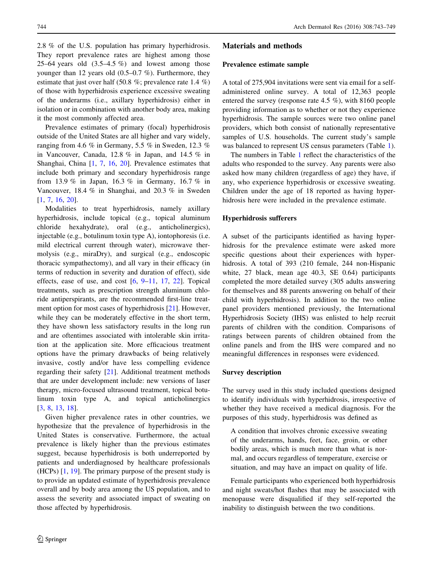2.8 % of the U.S. population has primary hyperhidrosis. They report prevalence rates are highest among those 25–64 years old  $(3.5–4.5\%)$  and lowest among those younger than 12 years old (0.5–0.7 %). Furthermore, they estimate that just over half (50.8 %; prevalence rate 1.4 %) of those with hyperhidrosis experience excessive sweating of the underarms (i.e., axillary hyperhidrosis) either in isolation or in combination with another body area, making it the most commonly affected area.

Prevalence estimates of primary (focal) hyperhidrosis outside of the United States are all higher and vary widely, ranging from 4.6 % in Germany, 5.5 % in Sweden, 12.3 % in Vancouver, Canada, 12.8 % in Japan, and 14.5 % in Shanghai, China [[1,](#page-5-0) [7](#page-5-0), [16,](#page-6-0) [20](#page-6-0)]. Prevalence estimates that include both primary and secondary hyperhidrosis range from 13.9 % in Japan, 16.3 % in Germany, 16.7 % in Vancouver, 18.4 % in Shanghai, and 20.3 % in Sweden [\[1](#page-5-0), [7](#page-5-0), [16,](#page-6-0) [20\]](#page-6-0).

Modalities to treat hyperhidrosis, namely axillary hyperhidrosis, include topical (e.g., topical aluminum chloride hexahydrate), oral (e.g., anticholinergics), injectable (e.g., botulinum toxin type A), iontophoresis (i.e. mild electrical current through water), microwave thermolysis (e.g., miraDry), and surgical (e.g., endoscopic thoracic sympathectomy), and all vary in their efficacy (in terms of reduction in severity and duration of effect), side effects, ease of use, and cost  $[6, 9-11, 17, 22]$  $[6, 9-11, 17, 22]$  $[6, 9-11, 17, 22]$  $[6, 9-11, 17, 22]$  $[6, 9-11, 17, 22]$  $[6, 9-11, 17, 22]$ . Topical treatments, such as prescription strength aluminum chloride antiperspirants, are the recommended first-line treatment option for most cases of hyperhidrosis [[21\]](#page-6-0). However, while they can be moderately effective in the short term, they have shown less satisfactory results in the long run and are oftentimes associated with intolerable skin irritation at the application site. More efficacious treatment options have the primary drawbacks of being relatively invasive, costly and/or have less compelling evidence regarding their safety [[21\]](#page-6-0). Additional treatment methods that are under development include: new versions of laser therapy, micro-focused ultrasound treatment, topical botulinum toxin type A, and topical anticholinergics [\[3](#page-5-0), [8](#page-5-0), [13,](#page-6-0) [18\]](#page-6-0).

Given higher prevalence rates in other countries, we hypothesize that the prevalence of hyperhidrosis in the United States is conservative. Furthermore, the actual prevalence is likely higher than the previous estimates suggest, because hyperhidrosis is both underreported by patients and underdiagnosed by healthcare professionals (HCPs) [[1,](#page-5-0) [19\]](#page-6-0). The primary purpose of the present study is to provide an updated estimate of hyperhidrosis prevalence overall and by body area among the US population, and to assess the severity and associated impact of sweating on those affected by hyperhidrosis.

### Materials and methods

#### Prevalence estimate sample

A total of 275,904 invitations were sent via email for a selfadministered online survey. A total of 12,363 people entered the survey (response rate 4.5 %), with 8160 people providing information as to whether or not they experience hyperhidrosis. The sample sources were two online panel providers, which both consist of nationally representative samples of U.S. households. The current study's sample was balanced to represent US census parameters (Table [1](#page-2-0)).

The numbers in Table [1](#page-2-0) reflect the characteristics of the adults who responded to the survey. Any parents were also asked how many children (regardless of age) they have, if any, who experience hyperhidrosis or excessive sweating. Children under the age of 18 reported as having hyperhidrosis here were included in the prevalence estimate.

## Hyperhidrosis sufferers

A subset of the participants identified as having hyperhidrosis for the prevalence estimate were asked more specific questions about their experiences with hyperhidrosis. A total of 393 (210 female, 244 non-Hispanic white, 27 black, mean age 40.3, SE 0.64) participants completed the more detailed survey (305 adults answering for themselves and 88 parents answering on behalf of their child with hyperhidrosis). In addition to the two online panel providers mentioned previously, the International Hyperhidrosis Society (IHS) was enlisted to help recruit parents of children with the condition. Comparisons of ratings between parents of children obtained from the online panels and from the IHS were compared and no meaningful differences in responses were evidenced.

### Survey description

The survey used in this study included questions designed to identify individuals with hyperhidrosis, irrespective of whether they have received a medical diagnosis. For the purposes of this study, hyperhidrosis was defined as

A condition that involves chronic excessive sweating of the underarms, hands, feet, face, groin, or other bodily areas, which is much more than what is normal, and occurs regardless of temperature, exercise or situation, and may have an impact on quality of life.

Female participants who experienced both hyperhidrosis and night sweats/hot flashes that may be associated with menopause were disqualified if they self-reported the inability to distinguish between the two conditions.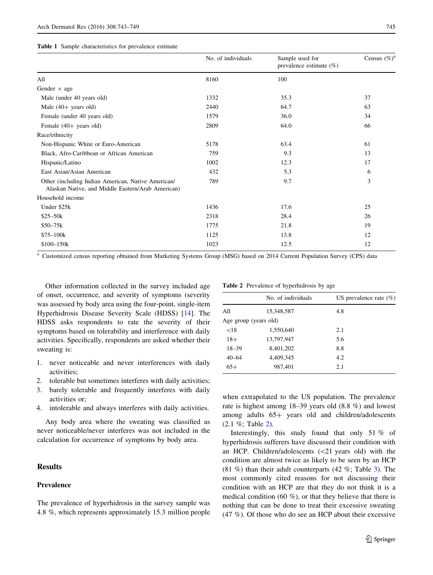<span id="page-2-0"></span>

|  |  | <b>Table 1</b> Sample characteristics for prevalence estimate |  |  |  |
|--|--|---------------------------------------------------------------|--|--|--|
|--|--|---------------------------------------------------------------|--|--|--|

|                                                                                                         | No. of individuals | Sample used for<br>prevalence estimate $(\%)$ | Census $(\%)^a$ |
|---------------------------------------------------------------------------------------------------------|--------------------|-----------------------------------------------|-----------------|
| All                                                                                                     | 8160               | 100                                           |                 |
| Gender $\times$ age                                                                                     |                    |                                               |                 |
| Male (under 40 years old)                                                                               | 1332               | 35.3                                          | 37              |
| Male $(40+$ years old)                                                                                  | 2440               | 64.7                                          | 63              |
| Female (under 40 years old)                                                                             | 1579               | 36.0                                          | 34              |
| Female $(40+$ years old)                                                                                | 2809               | 64.0                                          | 66              |
| Race/ethnicity                                                                                          |                    |                                               |                 |
| Non-Hispanic White or Euro-American                                                                     | 5178               | 63.4                                          | 61              |
| Black, Afro-Caribbean or African American                                                               | 759                | 9.3                                           | 13              |
| Hispanic/Latino                                                                                         | 1002               | 12.3                                          | 17              |
| East Asian/Asian American                                                                               | 432                | 5.3                                           | 6               |
| Other (including Indian American, Native American/<br>Alaskan Native, and Middle Eastern/Arab American) | 789                | 9.7                                           | 3               |
| Household income                                                                                        |                    |                                               |                 |
| Under \$25k                                                                                             | 1436               | 17.6                                          | 25              |
| $$25 - 50k$                                                                                             | 2318               | 28.4                                          | 26              |
| $$50 - 75k$                                                                                             | 1775               | 21.8                                          | 19              |
| \$75-100k                                                                                               | 1125               | 13.8                                          | 12              |
| $$100-150k$                                                                                             | 1023               | 12.5                                          | 12              |

<sup>a</sup> Customized census reporting obtained from Marketing Systems Group (MSG) based on 2014 Current Population Survey (CPS) data

Other information collected in the survey included age of onset, occurrence, and severity of symptoms (severity was assessed by body area using the four-point, single-item Hyperhidrosis Disease Severity Scale (HDSS) [[14\]](#page-6-0). The HDSS asks respondents to rate the severity of their symptoms based on tolerability and interference with daily activities. Specifically, respondents are asked whether their sweating is:

- 1. never noticeable and never interferences with daily activities;
- 2. tolerable but sometimes interferes with daily activities;
- 3. barely tolerable and frequently interferes with daily activities or;
- 4. intolerable and always interferes with daily activities.

Any body area where the sweating was classified as never noticeable/never interferes was not included in the calculation for occurrence of symptoms by body area.

## Results

## Prevalence

The prevalence of hyperhidrosis in the survey sample was 4.8 %, which represents approximately 15.3 million people

Table 2 Prevalence of hyperhidrosis by age

|                       | No. of individuals | US prevalence rate $(\%)$ |
|-----------------------|--------------------|---------------------------|
| All                   | 15.348.587         | 4.8                       |
| Age group (years old) |                    |                           |
| ${<}18$               | 1,550,640          | 2.1                       |
| $18+$                 | 13.797.947         | 5.6                       |
| 18–39                 | 8,401,202          | 8.8                       |
| $40 - 64$             | 4,409,345          | 4.2                       |
| $65+$                 | 987,401            | 2.1                       |
|                       |                    |                           |

when extrapolated to the US population. The prevalence rate is highest among 18–39 years old (8.8 %) and lowest among adults 65+ years old and children/adolescents (2.1 %; Table 2).

Interestingly, this study found that only 51 % of hyperhidrosis sufferers have discussed their condition with an HCP. Children/adolescents  $(\leq 21$  years old) with the condition are almost twice as likely to be seen by an HCP  $(81\%)$  than their adult counterparts  $(42\%;$  Table [3](#page-3-0)). The most commonly cited reasons for not discussing their condition with an HCP are that they do not think it is a medical condition (60 %), or that they believe that there is nothing that can be done to treat their excessive sweating (47 %). Of those who do see an HCP about their excessive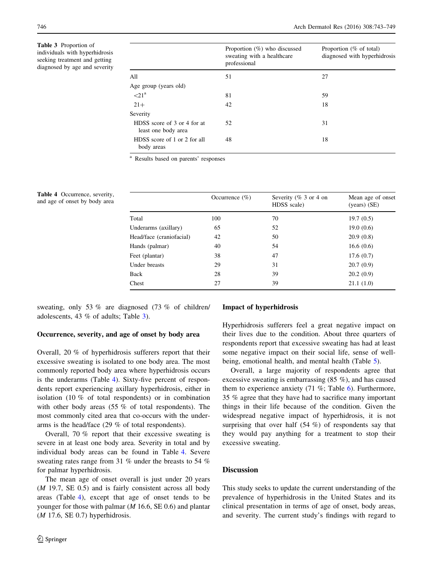<span id="page-3-0"></span>Table 3 Proportion of individuals with hyperhidrosis seeking treatment and getting diagnosed by age and severity

|                                                    | Proportion $(\%)$ who discussed<br>sweating with a healthcare<br>professional | Proportion (% of total)<br>diagnosed with hyperhidrosis |
|----------------------------------------------------|-------------------------------------------------------------------------------|---------------------------------------------------------|
| All                                                | 51                                                                            | 27                                                      |
| Age group (years old)                              |                                                                               |                                                         |
| $\leq 21^a$                                        | 81                                                                            | 59                                                      |
| $21+$                                              | 42                                                                            | 18                                                      |
| Severity                                           |                                                                               |                                                         |
| HDSS score of 3 or 4 for at<br>least one body area | 52                                                                            | 31                                                      |
| HDSS score of 1 or 2 for all<br>body areas         | 48                                                                            | 18                                                      |

<sup>a</sup> Results based on parents' responses

Table 4 Occurrence, severity, and age of onset by body area

|                          | Occurrence $(\% )$ | Severity ( $% 3$ or 4 on<br>HDSS scale) | Mean age of onset<br>$(years)$ $(SE)$ |
|--------------------------|--------------------|-----------------------------------------|---------------------------------------|
| Total                    | 100                | 70                                      | 19.7(0.5)                             |
| Underarms (axillary)     | 65                 | 52                                      | 19.0(0.6)                             |
| Head/face (craniofacial) | 42                 | 50                                      | 20.9(0.8)                             |
| Hands (palmar)           | 40                 | 54                                      | 16.6(0.6)                             |
| Feet (plantar)           | 38                 | 47                                      | 17.6(0.7)                             |
| Under breasts            | 29                 | 31                                      | 20.7(0.9)                             |
| Back                     | 28                 | 39                                      | 20.2(0.9)                             |
| Chest                    | 27                 | 39                                      | 21.1(1.0)                             |

sweating, only 53 % are diagnosed (73 % of children/ adolescents, 43 % of adults; Table 3).

#### Occurrence, severity, and age of onset by body area

Overall, 20 % of hyperhidrosis sufferers report that their excessive sweating is isolated to one body area. The most commonly reported body area where hyperhidrosis occurs is the underarms (Table 4). Sixty-five percent of respondents report experiencing axillary hyperhidrosis, either in isolation (10 % of total respondents) or in combination with other body areas (55 % of total respondents). The most commonly cited area that co-occurs with the underarms is the head/face (29 % of total respondents).

Overall, 70 % report that their excessive sweating is severe in at least one body area. Severity in total and by individual body areas can be found in Table 4. Severe sweating rates range from 31 % under the breasts to 54 % for palmar hyperhidrosis.

The mean age of onset overall is just under 20 years  $(M 19.7, SE 0.5)$  and is fairly consistent across all body areas (Table 4), except that age of onset tends to be younger for those with palmar  $(M 16.6, SE 0.6)$  and plantar  $(M 17.6, SE 0.7)$  hyperhidrosis.

#### Impact of hyperhidrosis

Hyperhidrosis sufferers feel a great negative impact on their lives due to the condition. About three quarters of respondents report that excessive sweating has had at least some negative impact on their social life, sense of wellbeing, emotional health, and mental health (Table [5\)](#page-4-0).

Overall, a large majority of respondents agree that excessive sweating is embarrassing (85 %), and has caused them to experience anxiety (71 %; Table [6\)](#page-4-0). Furthermore, 35 % agree that they have had to sacrifice many important things in their life because of the condition. Given the widespread negative impact of hyperhidrosis, it is not surprising that over half (54 %) of respondents say that they would pay anything for a treatment to stop their excessive sweating.

## **Discussion**

This study seeks to update the current understanding of the prevalence of hyperhidrosis in the United States and its clinical presentation in terms of age of onset, body areas, and severity. The current study's findings with regard to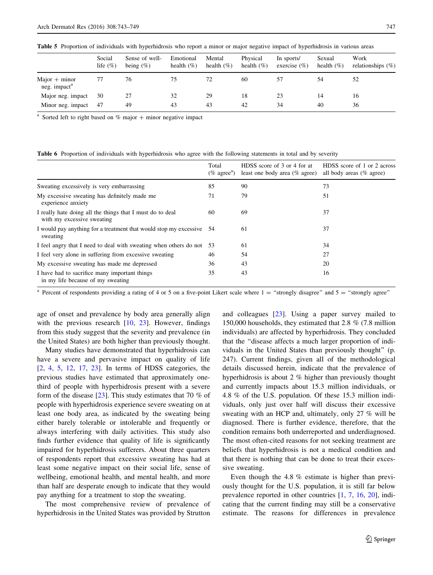<span id="page-4-0"></span>Table 5 Proportion of individuals with hyperhidrosis who report a minor or major negative impact of hyperhidrosis in various areas

|                                             | Social<br>life $(\%)$ | Sense of well-<br>being $(\%)$ | Emotional<br>health $(\% )$ | Mental<br>health $(\% )$ | Physical<br>health $(\%)$ | In sports/<br>exercise $(\%)$ | Sexual<br>health $(\% )$ | Work<br>relationships $(\%)$ |
|---------------------------------------------|-----------------------|--------------------------------|-----------------------------|--------------------------|---------------------------|-------------------------------|--------------------------|------------------------------|
| $Major + minor$<br>neg. impact <sup>a</sup> | 77                    | 76                             | 75                          |                          | 60                        | 57                            | 54                       | 52                           |
| Major neg. impact                           | 30                    |                                | 32                          | 29                       | 18                        | 23                            | 14                       | 16                           |
| Minor neg. impact                           | 47                    | 49                             | 43                          | 43                       | 42                        | 34                            | 40                       | 36                           |

<sup>a</sup> Sorted left to right based on  $\%$  major + minor negative impact

Table 6 Proportion of individuals with hyperhidrosis who agree with the following statements in total and by severity

|                                                                                         | Total<br>$(\%$ agree <sup>a</sup> ) | HDSS score of 3 or 4 for at<br>least one body area $(\%$ agree) | HDSS score of 1 or 2 across<br>all body areas $(\%$ agree) |
|-----------------------------------------------------------------------------------------|-------------------------------------|-----------------------------------------------------------------|------------------------------------------------------------|
| Sweating excessively is very embarrassing                                               | 85                                  | 90                                                              | 73                                                         |
| My excessive sweating has definitely made me<br>experience anxiety                      | 71                                  | 79                                                              | 51                                                         |
| I really hate doing all the things that I must do to deal<br>with my excessive sweating | 60                                  | 69                                                              | 37                                                         |
| I would pay anything for a treatment that would stop my excessive 54<br>sweating        |                                     | 61                                                              | 37                                                         |
| I feel angry that I need to deal with sweating when others do not                       | 53                                  | 61                                                              | 34                                                         |
| I feel very alone in suffering from excessive sweating                                  | 46                                  | 54                                                              | 27                                                         |
| My excessive sweating has made me depressed                                             | 36                                  | 43                                                              | 20                                                         |
| I have had to sacrifice many important things<br>in my life because of my sweating      | 35                                  | 43                                                              | 16                                                         |

<sup>a</sup> Percent of respondents providing a rating of 4 or 5 on a five-point Likert scale where  $1 =$  "strongly disagree" and  $5 =$  "strongly agree"

age of onset and prevalence by body area generally align with the previous research [[10,](#page-6-0) [23](#page-6-0)]. However, findings from this study suggest that the severity and prevalence (in the United States) are both higher than previously thought.

Many studies have demonstrated that hyperhidrosis can have a severe and pervasive impact on quality of life [\[2](#page-5-0), [4,](#page-5-0) [5,](#page-5-0) [12,](#page-6-0) [17](#page-6-0), [23](#page-6-0)]. In terms of HDSS categories, the previous studies have estimated that approximately onethird of people with hyperhidrosis present with a severe form of the disease [[23\]](#page-6-0). This study estimates that 70 % of people with hyperhidrosis experience severe sweating on at least one body area, as indicated by the sweating being either barely tolerable or intolerable and frequently or always interfering with daily activities. This study also finds further evidence that quality of life is significantly impaired for hyperhidrosis sufferers. About three quarters of respondents report that excessive sweating has had at least some negative impact on their social life, sense of wellbeing, emotional health, and mental health, and more than half are desperate enough to indicate that they would pay anything for a treatment to stop the sweating.

The most comprehensive review of prevalence of hyperhidrosis in the United States was provided by Strutton

and colleagues [[23\]](#page-6-0). Using a paper survey mailed to 150,000 households, they estimated that 2.8 % (7.8 million individuals) are affected by hyperhidrosis. They concluded that the ''disease affects a much larger proportion of individuals in the United States than previously thought'' (p. 247). Current findings, given all of the methodological details discussed herein, indicate that the prevalence of hyperhidrosis is about 2 % higher than previously thought and currently impacts about 15.3 million individuals, or 4.8 % of the U.S. population. Of these 15.3 million individuals, only just over half will discuss their excessive sweating with an HCP and, ultimately, only 27 % will be diagnosed. There is further evidence, therefore, that the condition remains both underreported and underdiagnosed. The most often-cited reasons for not seeking treatment are beliefs that hyperhidrosis is not a medical condition and that there is nothing that can be done to treat their excessive sweating.

Even though the 4.8 % estimate is higher than previously thought for the U.S. population, it is still far below prevalence reported in other countries [\[1](#page-5-0), [7](#page-5-0), [16](#page-6-0), [20](#page-6-0)], indicating that the current finding may still be a conservative estimate. The reasons for differences in prevalence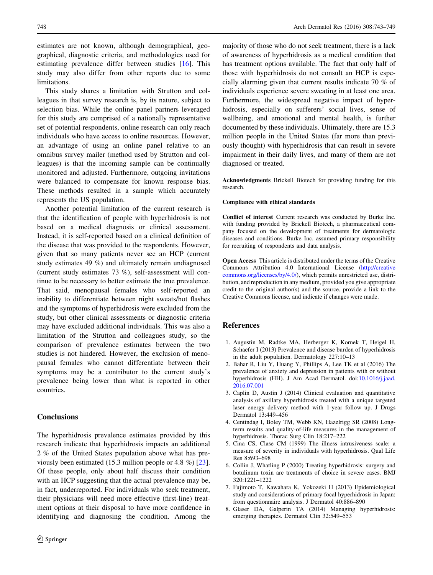<span id="page-5-0"></span>estimates are not known, although demographical, geographical, diagnostic criteria, and methodologies used for estimating prevalence differ between studies [\[16](#page-6-0)]. This study may also differ from other reports due to some limitations.

This study shares a limitation with Strutton and colleagues in that survey research is, by its nature, subject to selection bias. While the online panel partners leveraged for this study are comprised of a nationally representative set of potential respondents, online research can only reach individuals who have access to online resources. However, an advantage of using an online panel relative to an omnibus survey mailer (method used by Strutton and colleagues) is that the incoming sample can be continually monitored and adjusted. Furthermore, outgoing invitations were balanced to compensate for known response bias. These methods resulted in a sample which accurately represents the US population.

Another potential limitation of the current research is that the identification of people with hyperhidrosis is not based on a medical diagnosis or clinical assessment. Instead, it is self-reported based on a clinical definition of the disease that was provided to the respondents. However, given that so many patients never see an HCP (current study estimates 49 %) and ultimately remain undiagnosed (current study estimates 73 %), self-assessment will continue to be necessary to better estimate the true prevalence. That said, menopausal females who self-reported an inability to differentiate between night sweats/hot flashes and the symptoms of hyperhidrosis were excluded from the study, but other clinical assessments or diagnostic criteria may have excluded additional individuals. This was also a limitation of the Strutton and colleagues study, so the comparison of prevalence estimates between the two studies is not hindered. However, the exclusion of menopausal females who cannot differentiate between their symptoms may be a contributor to the current study's prevalence being lower than what is reported in other countries.

# **Conclusions**

The hyperhidrosis prevalence estimates provided by this research indicate that hyperhidrosis impacts an additional 2 % of the United States population above what has previously been estimated (15.3 million people or 4.8 %) [\[23](#page-6-0)]. Of these people, only about half discuss their condition with an HCP suggesting that the actual prevalence may be, in fact, underreported. For individuals who seek treatment, their physicians will need more effective (first-line) treatment options at their disposal to have more confidence in identifying and diagnosing the condition. Among the

majority of those who do not seek treatment, there is a lack of awareness of hyperhidrosis as a medical condition that has treatment options available. The fact that only half of those with hyperhidrosis do not consult an HCP is especially alarming given that current results indicate 70 % of individuals experience severe sweating in at least one area. Furthermore, the widespread negative impact of hyperhidrosis, especially on sufferers' social lives, sense of wellbeing, and emotional and mental health, is further documented by these individuals. Ultimately, there are 15.3 million people in the United States (far more than previously thought) with hyperhidrosis that can result in severe impairment in their daily lives, and many of them are not diagnosed or treated.

Acknowledgments Brickell Biotech for providing funding for this research.

#### Compliance with ethical standards

Conflict of interest Current research was conducted by Burke Inc. with funding provided by Brickell Biotech, a pharmaceutical company focused on the development of treatments for dermatologic diseases and conditions. Burke Inc. assumed primary responsibility for recruiting of respondents and data analysis.

Open Access This article is distributed under the terms of the Creative Commons Attribution 4.0 International License ([http://creative](http://creativecommons.org/licenses/by/4.0/) [commons.org/licenses/by/4.0/](http://creativecommons.org/licenses/by/4.0/)), which permits unrestricted use, distribution, and reproduction in any medium, provided you give appropriate credit to the original author(s) and the source, provide a link to the Creative Commons license, and indicate if changes were made.

#### References

- 1. Augustin M, Radtke MA, Herberger K, Kornek T, Heigel H, Schaefer I (2013) Prevalence and disease burden of hyperhidrosis in the adult population. Dermatology 227:10–13
- 2. Bahar R, Liu Y, Huang Y, Phillips A, Lee TK et al (2016) The prevalence of anxiety and depression in patients with or without hyperhidrosis (HH). J Am Acad Dermatol. doi:[10.1016/j.jaad.](http://dx.doi.org/10.1016/j.jaad.2016.07.001) [2016.07.001](http://dx.doi.org/10.1016/j.jaad.2016.07.001)
- 3. Caplin D, Austin J (2014) Clinical evaluation and quantitative analysis of axillary hyperhidrosis treated with a unique targeted laser energy delivery method with 1-year follow up. J Drugs Dermatol 13:449–456
- 4. Centindag I, Boley TM, Webb KN, Hazelrigg SR (2008) Longterm results and quality-of-life measures in the management of hyperhidrosis. Thorac Surg Clin 18:217–222
- 5. Cina CS, Clase CM (1999) The illness intrusiveness scale: a measure of severity in individuals with hyperhidrosis. Qual Life Res 8:693–698
- 6. Collin J, Whatling P (2000) Treating hyperhidrosis: surgery and botulinum toxin are treatments of choice in severe cases. BMJ 320:1221–1222
- 7. Fujimoto T, Kawahara K, Yokozeki H (2013) Epidemiological study and considerations of primary focal hyperhidrosis in Japan: from questionnaire analysis. J Dermatol 40:886–890
- 8. Glaser DA, Galperin TA (2014) Managing hyperhidrosis: emerging therapies. Dermatol Clin 32:549–553